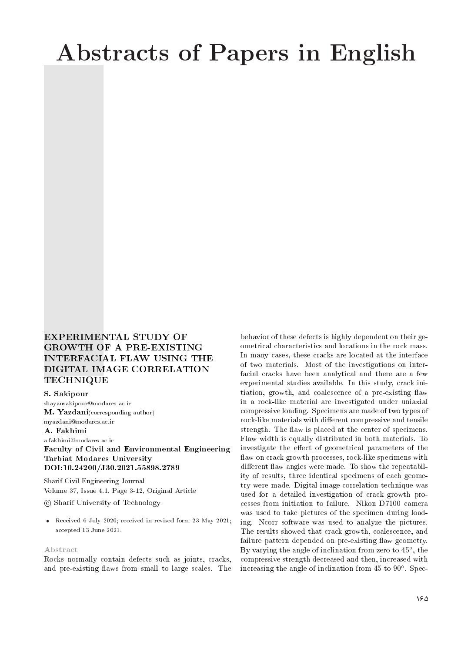# Abstracts of Papers in English

### EXPERIMENTAL STUDY OF GROWTH OF A PRE-EXISTING INTERFACIAL FLAW USING THE DIGITAL IMAGE CORRELATION TECHNIQUE

### S. Sakipour

shayansakipour@modares.ac.ir M. Yazdani(corresponding author) myazdani@modares.ac.ir A. Fakhimi a.fakhimi@modares.ac.ir

Faculty of Civil and Environmental Engineering Tarbiat Modares University DOI:10.24200/J30.2021.55898.2789

Sharif Civil Engineering Journal Volume 37, Issue 4.1, Page 3-12, Original Article c Sharif University of Technology

 Received 6 July 2020; received in revised form 23 May 2021; accepted 13 June 2021.

#### Abstract

Rocks normally contain defects such as joints, cracks, and pre-existing flaws from small to large scales. The

behavior of these defects is highly dependent on their geometrical characteristics and locations in the rock mass. In many cases, these cracks are located at the interface of two materials. Most of the investigations on interfacial cracks have been analytical and there are a few experimental studies available. In this study, crack initiation, growth, and coalescence of a pre-existing flaw in a rock-like material are investigated under uniaxial compressive loading. Specimens are made of two types of rock-like materials with different compressive and tensile strength. The flaw is placed at the center of specimens. Flaw width is equally distributed in both materials. To investigate the effect of geometrical parameters of the flaw on crack growth processes, rock-like specimens with different flaw angles were made. To show the repeatability of results, three identical specimens of each geometry were made. Digital image correlation technique was used for a detailed investigation of crack growth processes from initiation to failure. Nikon D7100 camera was used to take pictures of the specimen during loading. Ncorr software was used to analyze the pictures. The results showed that crack growth, coalescence, and failure pattern depended on pre-existing flaw geometry. By varying the angle of inclination from zero to 45 , the compressive strength decreased and then, increased with increasing the angle of inclination from 45 to 90 . Spec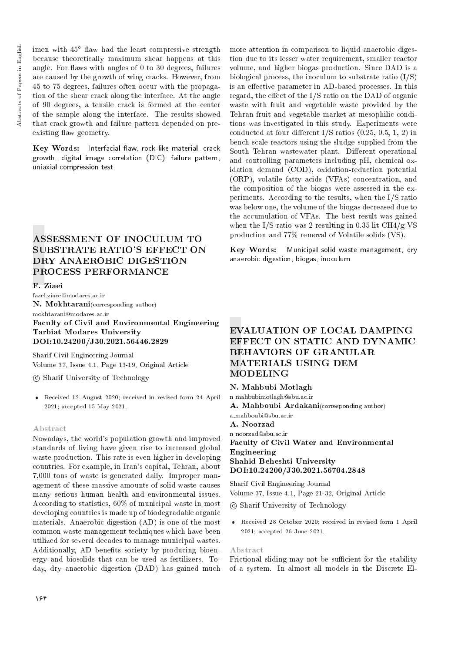imen with  $45^{\circ}$  flaw had the least compressive strength because theoretically maximum shear happens at this angle. For flaws with angles of  $0$  to  $30$  degrees, failures are caused by the growth of wing cracks. However, from 45 to 75 degrees, failures often occur with the propagation of the shear crack along the interface. At the angle of 90 degrees, a tensile crack is formed at the center of the sample along the interface. The results showed that crack growth and failure pattern depended on preexisting flaw geometry.

Key Words: Interfacial flaw, rock-like material, crack growth, digital image correlation (DIC), failure pattern, uniaxial compression test.

### ASSESSMENT OF INOCULUM TO SUBSTRATE RATIO'S EFFECT ON DRY ANAEROBIC DIGESTION PROCESS PERFORMANCE

### F. Ziaei

fazel.ziaee@modares.ac.ir N. Mokhtarani(corresponding author) mokhtarani@modares.ac.ir

### Faculty of Civil and Environmental Engineering Tarbiat Modares University DOI:10.24200/J30.2021.56446.2829

Sharif Civil Engineering Journal Volume 37, Issue 4.1, Page 13-19, Original Article

c Sharif University of Technology

 Received 12 August 2020; received in revised form 24 April 2021; accepted 15 May 2021.

#### Abstract

Nowadays, the world's population growth and improved standards of living have given rise to increased global waste production. This rate is even higher in developing countries. For example, in Iran's capital, Tehran, about 7,000 tons of waste is generated daily. Improper management of these massive amounts of solid waste causes many serious human health and environmental issues. According to statistics, 60% of municipal waste in most developing countries is made up of biodegradable organic materials. Anaerobic digestion (AD) is one of the most common waste management techniques which have been utilized for several decades to manage municipal wastes. Additionally, AD benefits society by producing bioenergy and biosolids that can be used as fertilizers. Today, dry anaerobic digestion (DAD) has gained much

more attention in comparison to liquid anaerobic digestion due to its lesser water requirement, smaller reactor volume, and higher biogas production. Since DAD is a biological process, the inoculum to substrate ratio  $(I/S)$ is an effective parameter in AD-based processes. In this regard, the effect of the  $I/S$  ratio on the DAD of organic waste with fruit and vegetable waste provided by the Tehran fruit and vegetable market at mesophilic conditions was investigated in this study. Experiments were conducted at four different I/S ratios  $(0.25, 0.5, 1, 2)$  in bench-scale reactors using the sludge supplied from the South Tehran wastewater plant. Different operational and controlling parameters including pH, chemical oxidation demand (COD), oxidation-reduction potential (ORP), volatile fatty acids (VFAs) concentration, and the composition of the biogas were assessed in the experiments. According to the results, when the I/S ratio was below one, the volume of the biogas decreased due to the accumulation of VFAs. The best result was gained when the I/S ratio was 2 resulting in 0.35 lit CH4/g VS production and 77% removal of Volatile solids (VS).

Key Words: Municipal solid waste management, dry anaerobic digestion, biogas, inoculum.

### EVALUATION OF LOCAL DAMPING EFFECT ON STATIC AND DYNAMIC BEHAVIORS OF GRANULAR MATERIALS USING DEM MODELING

N. Mahbubi Motlagh n mahbubimotlagh@sbu.ac.ir A. Mahboubi Ardakani(corresponding author) a mahboubi@sbu.ac.ir A. Noorzad n noorzad@sbu.ac.ir Faculty of Civil Water and Environmental Engineering Shahid Beheshti University DOI:10.24200/J30.2021.56704.2848

Sharif Civil Engineering Journal Volume 37, Issue 4.1, Page 21-32, Original Article

c Sharif University of Technology

 Received 28 October 2020; received in revised form 1 April 2021; accepted 26 June 2021.

#### Abstract

Frictional sliding may not be sufficient for the stability of a system. In almost all models in the Discrete El-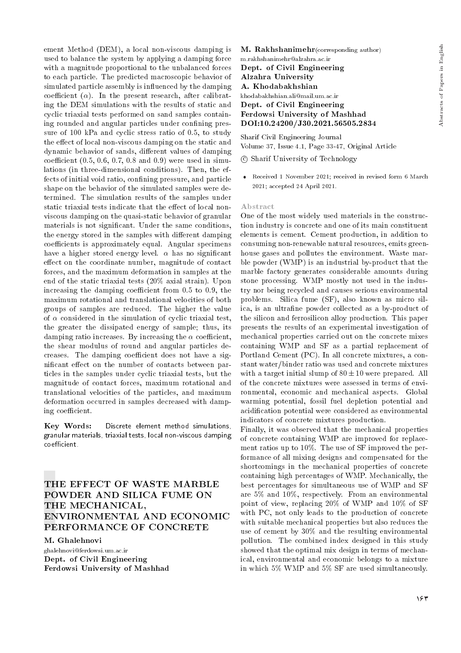ement Method (DEM), a local non-viscous damping is used to balance the system by applying a damping force with a magnitude proportional to the unbalanced forces to each particle. The predicted macroscopic behavior of simulated particle assembly is influenced by the damping coefficient  $(\alpha)$ . In the present research, after calibrating the DEM simulations with the results of static and cyclic triaxial tests performed on sand samples containing rounded and angular particles under confining pressure of 100 kPa and cyclic stress ratio of 0.5, to study the effect of local non-viscous damping on the static and dynamic behavior of sands, different values of damping coefficient  $(0.5, 0.6, 0.7, 0.8, 0.9)$  were used in simulations (in three-dimensional conditions). Then, the effects of initial void ratio, confining pressure, and particle shape on the behavior of the simulated samples were determined. The simulation results of the samples under static triaxial tests indicate that the effect of local nonviscous damping on the quasi-static behavior of granular materials is not signicant. Under the same conditions, the energy stored in the samples with different damping coefficients is approximately equal. Angular specimens have a higher stored energy level.  $\alpha$  has no significant effect on the coordinate number, magnitude of contact forces, and the maximum deformation in samples at the end of the static triaxial tests (20% axial strain). Upon increasing the damping coefficient from  $0.5$  to  $0.9$ , the maximum rotational and translational velocities of both groups of samples are reduced. The higher the value of  $\alpha$  considered in the simulation of cyclic triaxial test, the greater the dissipated energy of sample; thus, its damping ratio increases. By increasing the  $\alpha$  coefficient, the shear modulus of round and angular particles decreases. The damping coefficient does not have a significant effect on the number of contacts between particles in the samples under cyclic triaxial tests, but the magnitude of contact forces, maximum rotational and translational velocities of the particles, and maximum deformation occurred in samples decreased with damping coefficient.

Key Words: Discrete element method simulations, granular materials, triaxial tests, local non-viscous damping coefficient.

### THE EFFECT OF WASTE MARBLE POWDER AND SILICA FUME ON THE MECHANICAL, ENVIRONMENTAL AND ECONOMIC PERFORMANCE OF CONCRETE

M. Ghalehnovi ghalehnovi@ferdowsi.um.ac.ir Dept. of Civil Engineering Ferdowsi University of Mashhad

M. Rakhshanimehr(corresponding author) m.rakhshanimehr@alzahra.ac.ir Dept. of Civil Engineering Alzahra University A. Khodabakhshian khodabakhshian.ali@mail.um.ac.ir Dept. of Civil Engineering Ferdowsi University of Mashhad DOI:10.24200/J30.2021.56505.2834

Sharif Civil Engineering Journal Volume 37, Issue 4.1, Page 33-47, Original Article

c Sharif University of Technology

 Received 1 November 2021; received in revised form 6 March 2021; accepted 24 April 2021.

### Abstract

One of the most widely used materials in the construction industry is concrete and one of its main constituent elements is cement. Cement production, in addition to consuming non-renewable natural resources, emits greenhouse gases and pollutes the environment. Waste marble powder (WMP) is an industrial by-product that the marble factory generates considerable amounts during stone processing. WMP mostly not used in the industry nor being recycled and causes serious environmental problems. Silica fume (SF), also known as micro silica, is an ultrafine powder collected as a by-product of the silicon and ferrosilicon alloy production. This paper presents the results of an experimental investigation of mechanical properties carried out on the concrete mixes containing WMP and SF as a partial replacement of Portland Cement (PC). In all concrete mixtures, a constant water/binder ratio was used and concrete mixtures with a target initial slump of  $80 \pm 10$  were prepared. All of the concrete mixtures were assessed in terms of environmental, economic and mechanical aspects. Global warming potential, fossil fuel depletion potential and acidication potential were considered as environmental indicators of concrete mixtures production.

Finally, it was observed that the mechanical properties of concrete containing WMP are improved for replacement ratios up to 10%. The use of SF improved the performance of all mixing designs and compensated for the shortcomings in the mechanical properties of concrete containing high percentages of WMP. Mechanically, the best percentages for simultaneous use of WMP and SF are 5% and 10%, respectively. From an environmental point of view, replacing 20% of WMP and 10% of SF with PC, not only leads to the production of concrete with suitable mechanical properties but also reduces the use of cement by 30% and the resulting environmental pollution. The combined index designed in this study showed that the optimal mix design in terms of mechanical, environmental and economic belongs to a mixture in which 5% WMP and 5% SF are used simultaneously.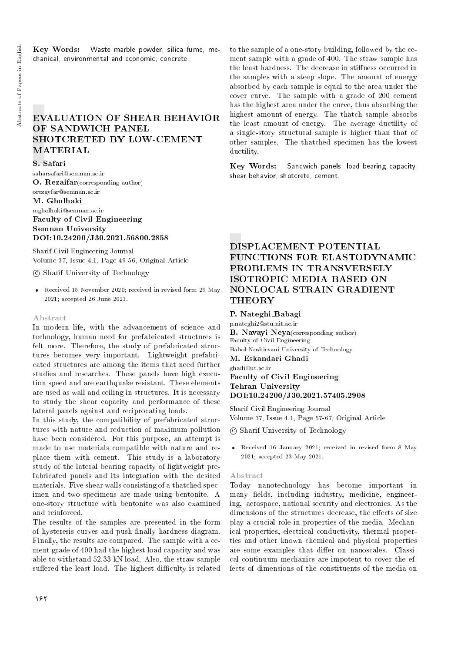Key Words: Waste marble powder, silica fume, mechanical, environmental and economic, concrete.

### EVALUATION OF SHEAR BEHAVIOR OF SANDWICH PANEL SHOTCRETED BY LOW-CEMENT **MATERIAL**

#### S. Safari

saharsafari@semnan.ac.ir O. Rezaifar(corresponding author) orezayfar@semnan.ac.ir

#### M. Gholhaki

### mgholhaki@semnan.ac.ir Faculty of Civil Engineering Semnan University DOI:10.24200/J30.2021.56800.2858

Sharif Civil Engineering Journal Volume 37, Issue 4.1, Page 49-56, Original Article

c Sharif University of Technology

 Received 15 November 2020; received in revised form 29 May 2021; accepted 26 June 2021.

#### Abstract

In modern life, with the advancement of science and technology, human need for prefabricated structures is felt more. Therefore, the study of prefabricated structures becomes very important. Lightweight prefabricated structures are among the items that need further studies and researches. These panels have high execution speed and are earthquake resistant. These elements are used as wall and ceiling in structures. It is necessary to study the shear capacity and performance of these lateral panels against and reciprocating loads.

In this study, the compatibility of prefabricated structures with nature and reduction of maximum pollution have been considered. For this purpose, an attempt is made to use materials compatible with nature and replace them with cement. This study is a laboratory study of the lateral bearing capacity of lightweight prefabricated panels and its integration with the desired materials. Five shear walls consisting of a thatched specimen and two specimens are made using bentonite. A one-story structure with bentonite was also examined and reinforced.

The results of the samples are presented in the form of hysteresis curves and push finally hardness diagram. Finally, the results are compared. The sample with a cement grade of 400 had the highest load capacity and was able to withstand 52.33 kN load. Also, the straw sample suffered the least load. The highest difficulty is related

to the sample of a one-story building, followed by the cement sample with a grade of 400. The straw sample has the least hardness. The decrease in stiffness occurred in the samples with a steep slope. The amount of energy absorbed by each sample is equal to the area under the cover curve. The sample with a grade of 200 cement has the highest area under the curve, thus absorbing the highest amount of energy. The thatch sample absorbs the least amount of energy. The average ductility of a single-story structural sample is higher than that of other samples. The thatched specimen has the lowest ductility.

Key Words: Sandwich panels, load-bearing capacity, shear behavior, shotcrete, cement.

### DISPLACEMENT POTENTIAL FUNCTIONS FOR ELASTODYNAMIC PROBLEMS IN TRANSVERSELY ISOTROPIC MEDIA BASED ON NONLOCAL STRAIN GRADIENT **THEORY**

### P. Nateghi\_Babagi

p.nateghi2@stu.nit.ac.ir B. Navayi Neya(corresponding author) Faculty of Civil Engineering Babol Noshirvani University of Technology M. Eskandari Ghadi ghadi@ut.ac.ir Faculty of Civil Engineering Tehran University DOI:10.24200/J30.2021.57405.2908

Sharif Civil Engineering Journal Volume 37, Issue 4.1, Page 57-67, Original Article

c Sharif University of Technology

 Received 16 January 2021; received in revised form 8 May 2021; accepted 23 May 2021.

#### Abstract

Today nanotechnology has become important in many fields, including industry, medicine, engineering, aerospace, national security and electronics. As the dimensions of the structures decrease, the effects of size play a crucial role in properties of the media. Mechanical properties, electrical conductivity, thermal properties and other known chemical and physical properties are some examples that differ on nanoscales. Classical continuum mechanics are impotent to cover the effects of dimensions of the constituents of the media on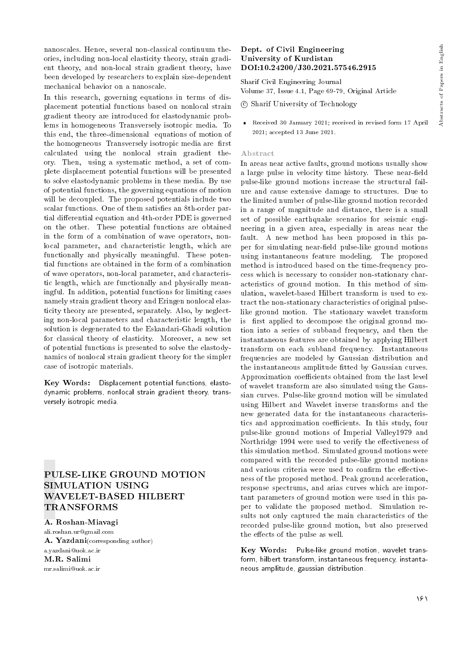nanoscales. Hence, several non-classical continuum theories, including non-local elasticity theory, strain gradient theory, and non-local strain gradient theory, have been developed by researchers to explain size-dependent mechanical behavior on a nanoscale.

In this research, governing equations in terms of displacement potential functions based on nonlocal strain gradient theory are introduced for elastodynamic problems in homogeneous Transversely isotropic media. To this end, the three-dimensional equations of motion of the homogeneous Transversely isotropic media are first calculated using the nonlocal strain gradient theory. Then, using a systematic method, a set of complete displacement potential functions will be presented to solve elastodynamic problems in these media. By use of potential functions, the governing equations of motion will be decoupled. The proposed potentials include two scalar functions. One of them satisfies an 8th-order partial differential equation and 4th-order PDE is governed on the other. These potential functions are obtained in the form of a combination of wave operators, nonlocal parameter, and characteristic length, which are functionally and physically meaningful. These potential functions are obtained in the form of a combination of wave operators, non-local parameter, and characteristic length, which are functionally and physically meaningful. In addition, potential functions for limiting cases namely strain gradient theory and Eringen nonlocal elasticity theory are presented, separately. Also, by neglecting non-local parameters and characteristic length, the solution is degenerated to the Eskandari-Ghadi solution for classical theory of elasticity. Moreover, a new set of potential functions is presented to solve the elastodynamics of nonlocal strain gradient theory for the simpler case of isotropic materials.

Key Words: Displacement potential functions, elastodynamic problems, nonlocal strain gradient theory, transversely isotropic media.

### PULSE-LIKE GROUND MOTION SIMULATION USING WAVELET-BASED HILBERT TRANSFORMS

A. Roshan-Miavagi ali.roshan.ur@gmail.com A. Yazdani(corresponding author) a.yazdani@uok.ac.ir M.R. Salimi mr.salimi@uok.ac.ir

### Dept. of Civil Engineering University of Kurdistan DOI:10.24200/J30.2021.57546.2915

Sharif Civil Engineering Journal Volume 37, Issue 4.1, Page 69-79, Original Article

- c Sharif University of Technology
- Received 30 January 2021; received in revised form 17 April 2021; accepted 13 June 2021.

#### Abstract

In areas near active faults, ground motions usually show a large pulse in velocity time history. These near-field pulse-like ground motions increase the structural failure and cause extensive damage to structures. Due to the limited number of pulse-like ground motion recorded in a range of magnitude and distance, there is a small set of possible earthquake scenarios for seismic engineering in a given area, especially in areas near the fault. A new method has been proposed in this paper for simulating near-field pulse-like ground motions using instantaneous feature modeling. The proposed method is introduced based on the time-frequency process which is necessary to consider non-stationary characteristics of ground motion. In this method of simulation, wavelet-based Hilbert transform is used to extract the non-stationary characteristics of original pulselike ground motion. The stationary wavelet transform is first applied to decompose the original ground motion into a series of subband frequency, and then the instantaneous features are obtained by applying Hilbert transform on each subband frequency. Instantaneous frequencies are modeled by Gaussian distribution and the instantaneous amplitude fitted by Gaussian curves. Approximation coefficients obtained from the last level of wavelet transform are also simulated using the Gaussian curves. Pulse-like ground motion will be simulated using Hilbert and Wavelet inverse transforms and the new generated data for the instantaneous characteristics and approximation coefficients. In this study, four pulse-like ground motions of Imperial Valley1979 and Northridge 1994 were used to verify the effectiveness of this simulation method. Simulated ground motions were compared with the recorded pulse-like ground motions and various criteria were used to confirm the effectiveness of the proposed method. Peak ground acceleration, response spectrums, and arias curves which are important parameters of ground motion were used in this paper to validate the proposed method. Simulation results not only captured the main characteristics of the recorded pulse-like ground motion, but also preserved the effects of the pulse as well.

Key Words: Pulse-like ground motion, wavelet transform, hilbert transform, instantaneous frequency, instantaneous amplitude, gaussian distribution.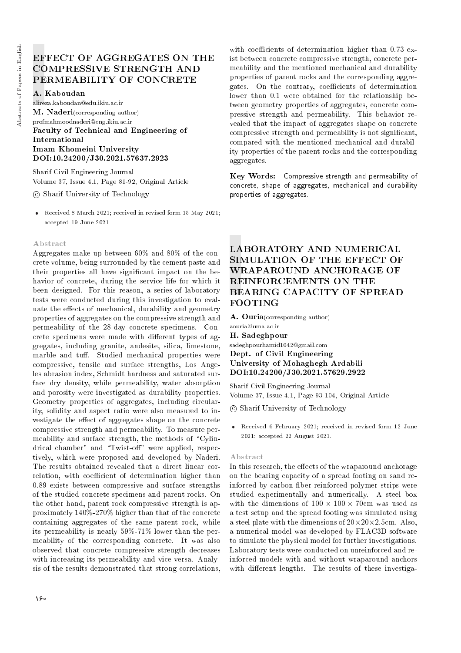## EFFECT OF AGGREGATES ON THE COMPRESSIVE STRENGTH AND PERMEABILITY OF CONCRETE

### A. Kaboudan

alireza.kaboudan@edu.ikiu.ac.ir M. Naderi(corresponding author) profmahmoodnaderi@eng.ikiu.ac.ir Faculty of Technical and Engineering of International Imam Khomeini University DOI:10.24200/J30.2021.57637.2923

Sharif Civil Engineering Journal Volume 37, Issue 4.1, Page 81-92, Original Article

c Sharif University of Technology

 Received 8 March 2021; received in revised form 15 May 2021; accepted 19 June 2021.

### Abstract

Aggregates make up between 60% and 80% of the concrete volume, being surrounded by the cement paste and their properties all have signicant impact on the behavior of concrete, during the service life for which it been designed. For this reason, a series of laboratory tests were conducted during this investigation to evaluate the effects of mechanical, durability and geometry properties of aggregates on the compressive strength and permeability of the 28-day concrete specimens. Concrete specimens were made with different types of aggregates, including granite, andesite, silica, limestone, marble and tuff. Studied mechanical properties were compressive, tensile and surface strengths, Los Angeles abrasion index, Schmidt hardness and saturated surface dry density, while permeability, water absorption and porosity were investigated as durability properties. Geometry properties of aggregates, including circularity, solidity and aspect ratio were also measured to investigate the effect of aggregates shape on the concrete compressive strength and permeability. To measure permeability and surface strength, the methods of \Cylindrical chamber" and "Twist-off" were applied, respectively, which were proposed and developed by Naderi. The results obtained revealed that a direct linear correlation, with coefficient of determination higher than 0.89 exists between compressive and surface strengths of the studied concrete specimens and parent rocks. On the other hand, parent rock compressive strength is approximately 140%-270% higher than that of the concrete containing aggregates of the same parent rock, while its permeability is nearly 59%-71% lower than the permeability of the corresponding concrete. It was also observed that concrete compressive strength decreases with increasing its permeability and vice versa. Analysis of the results demonstrated that strong correlations,

with coefficients of determination higher than 0.73 exist between concrete compressive strength, concrete permeability and the mentioned mechanical and durability properties of parent rocks and the corresponding aggregates. On the contrary, coefficients of determination lower than 0.1 were obtained for the relationship between geometry properties of aggregates, concrete compressive strength and permeability. This behavior revealed that the impact of aggregates shape on concrete compressive strength and permeability is not signicant, compared with the mentioned mechanical and durability properties of the parent rocks and the corresponding aggregates.

Key Words: Compressive strength and permeability of concrete, shape of aggregates, mechanical and durability properties of aggregates.

## LABORATORY AND NUMERICAL SIMULATION OF THE EFFECT OF WRAPAROUND ANCHORAGE OF REINFORCEMENTS ON THE BEARING CAPACITY OF SPREAD FOOTING

A. Ouria(corresponding author) aouria@uma.ac.ir H. Sadeghpour sadeghpourhamid1042@gmail.com Dept. of Civil Engineering

University of Mohaghegh Ardabili DOI:10.24200/J30.2021.57629.2922

Sharif Civil Engineering Journal Volume 37, Issue 4.1, Page 93-104, Original Article

c Sharif University of Technology

 Received 6 February 2021; received in revised form 12 June 2021; accepted 22 August 2021.

### Abstract

In this research, the effects of the wraparound anchorage on the bearing capacity of a spread footing on sand reinforced by carbon ber reinforced polymer strips were studied experimentally and numerically. A steel box with the dimensions of  $100 \times 100 \times 70$ cm was used as a test setup and the spread footing was simulated using a steel plate with the dimensions of  $20 \times 20 \times 2.5$ cm. Also, a numerical model was developed by FLAC3D software to simulate the physical model for further investigations. Laboratory tests were conducted on unreinforced and reinforced models with and without wraparound anchors with different lengths. The results of these investiga-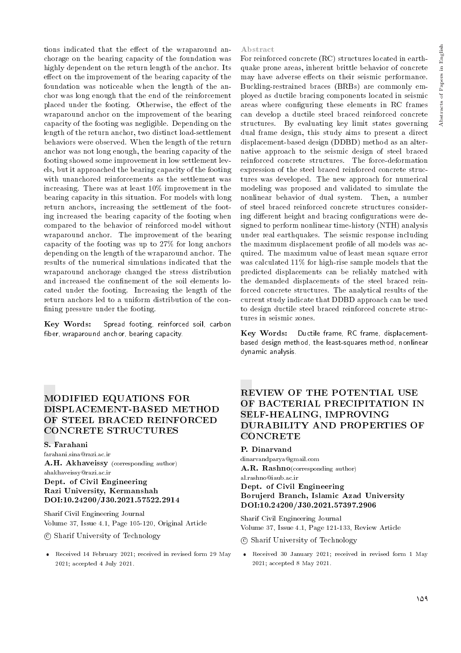tions indicated that the effect of the wraparound anchorage on the bearing capacity of the foundation was highly dependent on the return length of the anchor. Its effect on the improvement of the bearing capacity of the foundation was noticeable when the length of the anchor was long enough that the end of the reinforcement placed under the footing. Otherwise, the effect of the wraparound anchor on the improvement of the bearing capacity of the footing was negligible. Depending on the length of the return anchor, two distinct load-settlement behaviors were observed. When the length of the return anchor was not long enough, the bearing capacity of the footing showed some improvement in low settlement levels, but it approached the bearing capacity of the footing with unanchored reinforcements as the settlement was increasing. There was at least 10% improvement in the bearing capacity in this situation. For models with long return anchors, increasing the settlement of the footing increased the bearing capacity of the footing when compared to the behavior of reinforced model without wraparound anchor. The improvement of the bearing capacity of the footing was up to 27% for long anchors depending on the length of the wraparound anchor. The results of the numerical simulations indicated that the wraparound anchorage changed the stress distribution and increased the confinement of the soil elements located under the footing. Increasing the length of the return anchors led to a uniform distribution of the con fining pressure under the footing.

Key Words: Spread footing, reinforced soil, carbon fiber, wraparound anchor, bearing capacity.

#### Abstract

For reinforced concrete (RC) structures located in earthquake prone areas, inherent brittle behavior of concrete may have adverse effects on their seismic performance. Buckling-restrained braces (BRBs) are commonly employed as ductile bracing components located in seismic areas where conguring these elements in RC frames can develop a ductile steel braced reinforced concrete structures. By evaluating key limit states governing dual frame design, this study aims to present a direct displacement-based design (DDBD) method as an alternative approach to the seismic design of steel braced reinforced concrete structures. The force-deformation expression of the steel braced reinforced concrete structures was developed. The new approach for numerical modeling was proposed and validated to simulate the nonlinear behavior of dual system. Then, a number of steel braced reinforced concrete structures considering different height and bracing configurations were designed to perform nonlinear time-history (NTH) analysis under real earthquakes. The seismic response including the maximum displacement profile of all models was acquired. The maximum value of least mean square error was calculated 11% for high-rise sample models that the predicted displacements can be reliably matched with the demanded displacements of the steel braced reinforced concrete structures. The analytical results of the current study indicate that DDBD approach can be used to design ductile steel braced reinforced concrete structures in seismic zones.

Key Words: Ductile frame, RC frame, displacementbased design method, the least-squares method, nonlinear dynamic analysis.

## MODIFIED EQUATIONS FOR DISPLACEMENT-BASED METHOD OF STEEL BRACED REINFORCED CONCRETE STRUCTURES

### S. Farahani

farahani.sina@razi.ac.ir A.H. Akhaveissy (corresponding author) ahakhaveissy@razi.ac.ir Dept. of Civil Engineering Razi University, Kermanshah DOI:10.24200/J30.2021.57522.2914

Sharif Civil Engineering Journal Volume 37, Issue 4.1, Page 105-120, Original Article

c Sharif University of Technology

 Received 14 February 2021; received in revised form 29 May 2021; accepted 4 July 2021.

### REVIEW OF THE POTENTIAL USE OF BACTERIAL PRECIPITATION IN SELF-HEALING, IMPROVING DURABILITY AND PROPERTIES OF **CONCRETE**

### P. Dinarvand

dinarvandparya@gmail.com A.R. Rashno(corresponding author)

al.rashno@iaub.ac.ir

### Dept. of Civil Engineering Borujerd Branch, Islamic Azad University DOI:10.24200/J30.2021.57397.2906

Sharif Civil Engineering Journal Volume 37, Issue 4.1, Page 121-133, Review Article

c Sharif University of Technology

 Received 30 January 2021; received in revised form 1 May 2021; accepted 8 May 2021.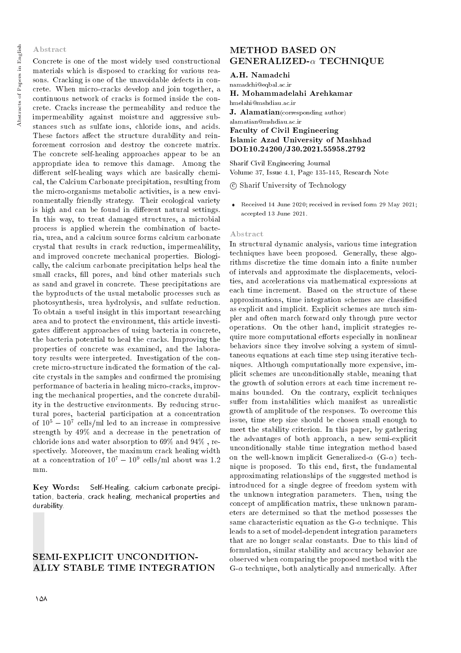#### Abstract

Concrete is one of the most widely used constructional materials which is disposed to cracking for various reasons. Cracking is one of the unavoidable defects in concrete. When micro-cracks develop and join together, a continuous network of cracks is formed inside the concrete. Cracks increase the permeability and reduce the impermeability against moisture and aggressive substances such as sulfate ions, chloride ions, and acids. These factors affect the structure durability and reinforcement corrosion and destroy the concrete matrix. The concrete self-healing approaches appear to be an appropriate idea to remove this damage. Among the different self-healing ways which are basically chemical, the Calcium Carbonate precipitation, resulting from the micro-organisms metabolic activities, is a new environmentally friendly strategy. Their ecological variety is high and can be found in different natural settings. In this way, to treat damaged structures, a microbial process is applied wherein the combination of bacteria, urea, and a calcium source forms calcium carbonate crystal that results in crack reduction, impermeability, and improved concrete mechanical properties. Biologically, the calcium carbonate precipitation helps heal the small cracks, fill pores, and bind other materials such as sand and gravel in concrete. These precipitations are the byproducts of the usual metabolic processes such as photosynthesis, urea hydrolysis, and sulfate reduction. To obtain a useful insight in this important researching area and to protect the environment, this article investigates different approaches of using bacteria in concrete, the bacteria potential to heal the cracks. Improving the properties of concrete was examined, and the laboratory results were interpreted. Investigation of the concrete micro-structure indicated the formation of the calcite crystals in the samples and conrmed the promising performance of bacteria in healing micro-cracks, improving the mechanical properties, and the concrete durability in the destructive environments. By reducing structural pores, bacterial participation at a concentration of  $10^5 - 10^7$  cells/ml led to an increase in compressive strength by 49% and a decrease in the penetration of chloride ions and water absorption to 69% and 94% , respectively. Moreover, the maximum crack healing width at a concentration of  $10^7 - 10^9$  cells/ml about was 1.2 mm.

Key Words: Self-Healing, calcium carbonate precipitation, bacteria, crack healing, mechanical properties and durability.

### SEMI-EXPLICIT UNCONDITION-ALLY STABLE TIME INTEGRATION

### METHOD BASED ON  $GENERALIZED- $\alpha$ TECHNIQUE$

#### A.H. Namadchi

namadchi@eqbal.ac.ir

H. Mohammadelahi Arehkamar

hmelahi@mshdiau.ac.ir

J. Alamatian(corresponding author)

alamatian@mshdiau.ac.ir Faculty of Civil Engineering Islamic Azad University of Mashhad DOI:10.24200/J30.2021.55958.2792

Sharif Civil Engineering Journal Volume 37, Issue 4.1, Page 135-145, Research Note

c Sharif University of Technology

 Received 14 June 2020; received in revised form 29 May 2021; accepted 13 June 2021.

#### Abstract

In structural dynamic analysis, various time integration techniques have been proposed. Generally, these algorithms discretize the time domain into a finite number of intervals and approximate the displacements, velocities, and accelerations via mathematical expressions at each time increment. Based on the structure of these approximations, time integration schemes are classied as explicit and implicit. Explicit schemes are much simpler and often march forward only through pure vector operations. On the other hand, implicit strategies require more computational efforts especially in nonlinear behaviors since they involve solving a system of simultaneous equations at each time step using iterative techniques. Although computationally more expensive, implicit schemes are unconditionally stable, meaning that the growth of solution errors at each time increment remains bounded. On the contrary, explicit techniques suffer from instabilities which manifest as unrealistic growth of amplitude of the responses. To overcome this issue, time step size should be chosen small enough to meet the stability criterion. In this paper, by gathering the advantages of both approach, a new semi-explicit unconditionally stable time integration method based on the well-known implicit Generalized- $\alpha$  (G- $\alpha$ ) technique is proposed. To this end, first, the fundamental approximating relationships of the suggested method is introduced for a single degree of freedom system with the unknown integration parameters. Then, using the concept of amplication matrix, these unknown parameters are determined so that the method possesses the same characteristic equation as the  $G-\alpha$  technique. This leads to a set of model-dependent integration parameters that are no longer scalar constants. Due to this kind of formulation, similar stability and accuracy behavior are observed when comparing the proposed method with the  $G-\alpha$  technique, both analytically and numerically. After